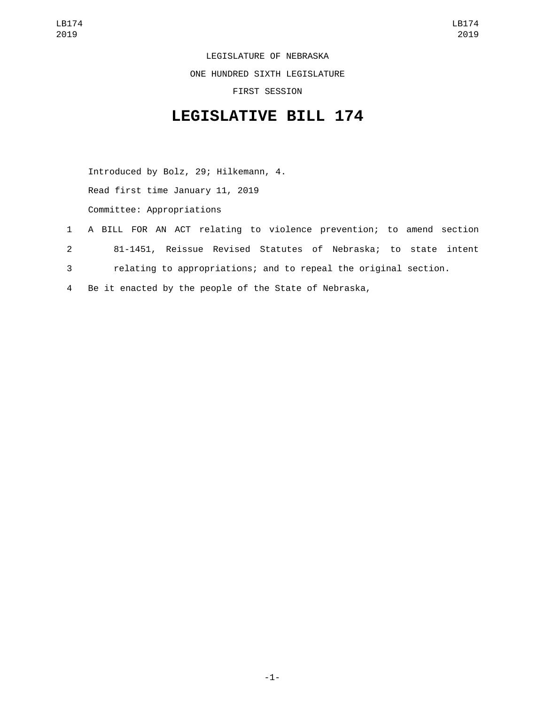LEGISLATURE OF NEBRASKA

ONE HUNDRED SIXTH LEGISLATURE

FIRST SESSION

## **LEGISLATIVE BILL 174**

Introduced by Bolz, 29; Hilkemann, 4. Read first time January 11, 2019 Committee: Appropriations

- 1 A BILL FOR AN ACT relating to violence prevention; to amend section 2 81-1451, Reissue Revised Statutes of Nebraska; to state intent 3 relating to appropriations; and to repeal the original section.
- 4 Be it enacted by the people of the State of Nebraska,